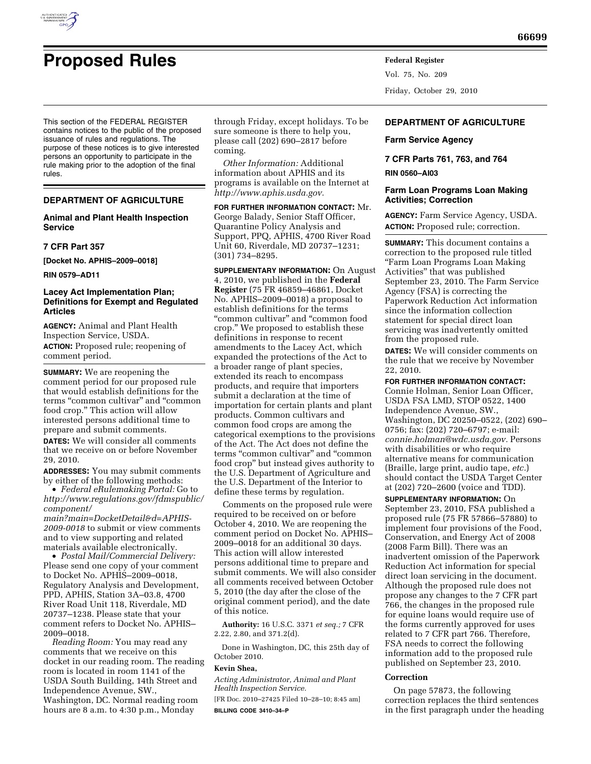

# **Proposed Rules Federal Register**

This section of the FEDERAL REGISTER contains notices to the public of the proposed issuance of rules and regulations. The purpose of these notices is to give interested persons an opportunity to participate in the rule making prior to the adoption of the final rules.

#### **DEPARTMENT OF AGRICULTURE**

## **Animal and Plant Health Inspection Service**

#### **7 CFR Part 357**

**[Docket No. APHIS–2009–0018]** 

**RIN 0579–AD11** 

## **Lacey Act Implementation Plan; Definitions for Exempt and Regulated Articles**

**AGENCY:** Animal and Plant Health Inspection Service, USDA. **ACTION:** Proposed rule; reopening of comment period.

**SUMMARY:** We are reopening the comment period for our proposed rule that would establish definitions for the terms "common cultivar" and "common food crop.'' This action will allow interested persons additional time to prepare and submit comments.

**DATES:** We will consider all comments that we receive on or before November 29, 2010.

**ADDRESSES:** You may submit comments by either of the following methods:

• *Federal eRulemaking Portal:* Go to *[http://www.regulations.gov/fdmspublic/](http://www.regulations.gov/fdmspublic/component/main?main=DocketDetail&d=APHIS-2009-0018) [component/](http://www.regulations.gov/fdmspublic/component/main?main=DocketDetail&d=APHIS-2009-0018)* 

*[main?main=DocketDetail&d=APHIS-](http://www.regulations.gov/fdmspublic/component/main?main=DocketDetail&d=APHIS-2009-0018)[2009-0018](http://www.regulations.gov/fdmspublic/component/main?main=DocketDetail&d=APHIS-2009-0018)* to submit or view comments and to view supporting and related materials available electronically.

• *Postal Mail/Commercial Delivery:*  Please send one copy of your comment to Docket No. APHIS–2009–0018, Regulatory Analysis and Development, PPD, APHIS, Station 3A–03.8, 4700 River Road Unit 118, Riverdale, MD 20737–1238. Please state that your comment refers to Docket No. APHIS– 2009–0018.

*Reading Room:* You may read any comments that we receive on this docket in our reading room. The reading room is located in room 1141 of the USDA South Building, 14th Street and Independence Avenue, SW., Washington, DC. Normal reading room hours are 8 a.m. to 4:30 p.m., Monday

through Friday, except holidays. To be sure someone is there to help you, please call (202) 690–2817 before coming.

*Other Information:* Additional information about APHIS and its programs is available on the Internet at *[http://www.aphis.usda.gov.](http://www.aphis.usda.gov)* 

**FOR FURTHER INFORMATION CONTACT:** Mr. George Balady, Senior Staff Officer, Quarantine Policy Analysis and Support, PPQ, APHIS, 4700 River Road Unit 60, Riverdale, MD 20737–1231; (301) 734–8295.

**SUPPLEMENTARY INFORMATION:** On August 4, 2010, we published in the **Federal Register** (75 FR 46859–46861, Docket No. APHIS–2009–0018) a proposal to establish definitions for the terms "common cultivar" and "common food crop.'' We proposed to establish these definitions in response to recent amendments to the Lacey Act, which expanded the protections of the Act to a broader range of plant species, extended its reach to encompass products, and require that importers submit a declaration at the time of importation for certain plants and plant products. Common cultivars and common food crops are among the categorical exemptions to the provisions of the Act. The Act does not define the terms "common cultivar" and "common food crop'' but instead gives authority to the U.S. Department of Agriculture and the U.S. Department of the Interior to define these terms by regulation.

Comments on the proposed rule were required to be received on or before October 4, 2010. We are reopening the comment period on Docket No. APHIS– 2009–0018 for an additional 30 days. This action will allow interested persons additional time to prepare and submit comments. We will also consider all comments received between October 5, 2010 (the day after the close of the original comment period), and the date of this notice.

**Authority:** 16 U.S.C. 3371 *et seq.;* 7 CFR 2.22, 2.80, and 371.2(d).

Done in Washington, DC, this 25th day of October 2010.

## **Kevin Shea,**

*Acting Administrator, Animal and Plant Health Inspection Service.* 

[FR Doc. 2010–27425 Filed 10–28–10; 8:45 am] **BILLING CODE 3410–34–P** 

Vol. 75, No. 209 Friday, October 29, 2010

## **DEPARTMENT OF AGRICULTURE**

#### **Farm Service Agency**

**7 CFR Parts 761, 763, and 764 RIN 0560–AI03** 

## **Farm Loan Programs Loan Making Activities; Correction**

**AGENCY:** Farm Service Agency, USDA. **ACTION:** Proposed rule; correction.

**SUMMARY:** This document contains a correction to the proposed rule titled ''Farm Loan Programs Loan Making Activities'' that was published September 23, 2010. The Farm Service Agency (FSA) is correcting the Paperwork Reduction Act information since the information collection statement for special direct loan servicing was inadvertently omitted from the proposed rule.

**DATES:** We will consider comments on the rule that we receive by November 22, 2010.

#### **FOR FURTHER INFORMATION CONTACT:**

Connie Holman, Senior Loan Officer, USDA FSA LMD, STOP 0522, 1400 Independence Avenue, SW., Washington, DC 20250–0522, (202) 690– 0756; fax: (202) 720–6797; e-mail: *[connie.holman@wdc.usda.gov.](mailto:connie.holman@wdc.usda.gov)* Persons with disabilities or who require alternative means for communication (Braille, large print, audio tape, *etc.*) should contact the USDA Target Center at (202) 720–2600 (voice and TDD).

**SUPPLEMENTARY INFORMATION:** On September 23, 2010, FSA published a proposed rule (75 FR 57866–57880) to implement four provisions of the Food, Conservation, and Energy Act of 2008 (2008 Farm Bill). There was an inadvertent omission of the Paperwork Reduction Act information for special direct loan servicing in the document. Although the proposed rule does not propose any changes to the 7 CFR part 766, the changes in the proposed rule for equine loans would require use of the forms currently approved for uses related to 7 CFR part 766. Therefore, FSA needs to correct the following information add to the proposed rule published on September 23, 2010.

#### **Correction**

On page 57873, the following correction replaces the third sentences in the first paragraph under the heading